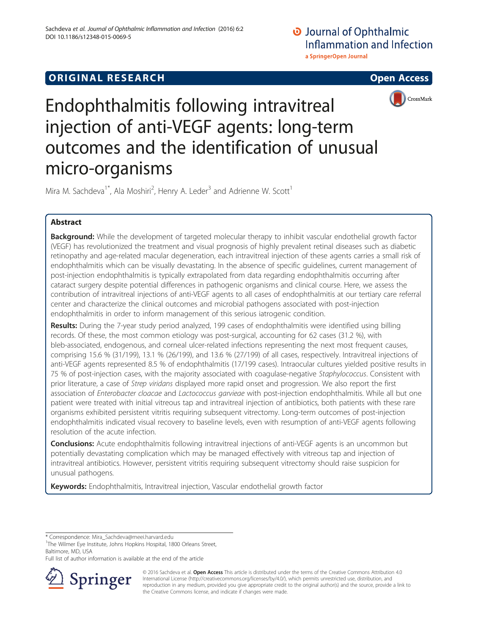# **ORIGINAL RESEARCH CONSUMING ACCESS**



Endophthalmitis following intravitreal injection of anti-VEGF agents: long-term outcomes and the identification of unusual micro-organisms

Mira M. Sachdeva<sup>1\*</sup>, Ala Moshiri<sup>2</sup>, Henry A. Leder<sup>3</sup> and Adrienne W. Scott<sup>1</sup>

## Abstract

Background: While the development of targeted molecular therapy to inhibit vascular endothelial growth factor (VEGF) has revolutionized the treatment and visual prognosis of highly prevalent retinal diseases such as diabetic retinopathy and age-related macular degeneration, each intravitreal injection of these agents carries a small risk of endophthalmitis which can be visually devastating. In the absence of specific guidelines, current management of post-injection endophthalmitis is typically extrapolated from data regarding endophthalmitis occurring after cataract surgery despite potential differences in pathogenic organisms and clinical course. Here, we assess the contribution of intravitreal injections of anti-VEGF agents to all cases of endophthalmitis at our tertiary care referral center and characterize the clinical outcomes and microbial pathogens associated with post-injection endophthalmitis in order to inform management of this serious iatrogenic condition.

Results: During the 7-year study period analyzed, 199 cases of endophthalmitis were identified using billing records. Of these, the most common etiology was post-surgical, accounting for 62 cases (31.2 %), with bleb-associated, endogenous, and corneal ulcer-related infections representing the next most frequent causes, comprising 15.6 % (31/199), 13.1 % (26/199), and 13.6 % (27/199) of all cases, respectively. Intravitreal injections of anti-VEGF agents represented 8.5 % of endophthalmitis (17/199 cases). Intraocular cultures yielded positive results in 75 % of post-injection cases, with the majority associated with coagulase-negative Staphylococcus. Consistent with prior literature, a case of Strep viridans displayed more rapid onset and progression. We also report the first association of Enterobacter cloacae and Lactococcus garvieae with post-injection endophthalmitis. While all but one patient were treated with initial vitreous tap and intravitreal injection of antibiotics, both patients with these rare organisms exhibited persistent vitritis requiring subsequent vitrectomy. Long-term outcomes of post-injection endophthalmitis indicated visual recovery to baseline levels, even with resumption of anti-VEGF agents following resolution of the acute infection.

**Conclusions:** Acute endophthalmitis following intravitreal injections of anti-VEGF agents is an uncommon but potentially devastating complication which may be managed effectively with vitreous tap and injection of intravitreal antibiotics. However, persistent vitritis requiring subsequent vitrectomy should raise suspicion for unusual pathogens.

Keywords: Endophthalmitis, Intravitreal injection, Vascular endothelial growth factor

<sup>1</sup>The Wilmer Eye Institute, Johns Hopkins Hospital, 1800 Orleans Street, Baltimore, MD, USA

Full list of author information is available at the end of the article



© 2016 Sachdeva et al. Open Access This article is distributed under the terms of the Creative Commons Attribution 4.0 International License ([http://creativecommons.org/licenses/by/4.0/\)](http://creativecommons.org/licenses/by/4.0/), which permits unrestricted use, distribution, and reproduction in any medium, provided you give appropriate credit to the original author(s) and the source, provide a link to the Creative Commons license, and indicate if changes were made.

<sup>\*</sup> Correspondence: [Mira\\_Sachdeva@meei.harvard.edu](mailto:Mira_Sachdeva@meei.harvard.edu) <sup>1</sup>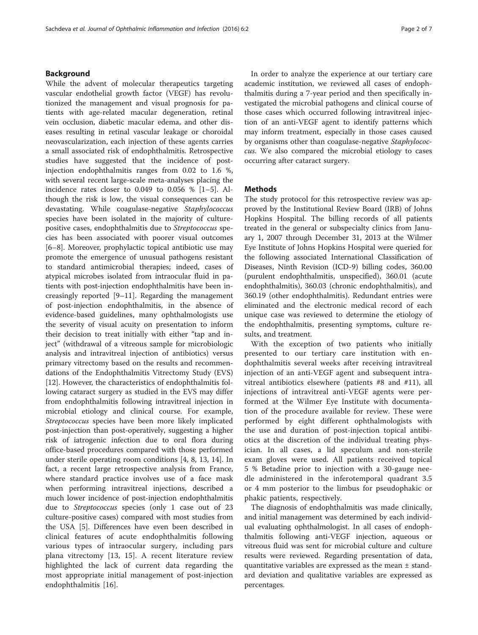## Background

While the advent of molecular therapeutics targeting vascular endothelial growth factor (VEGF) has revolutionized the management and visual prognosis for patients with age-related macular degeneration, retinal vein occlusion, diabetic macular edema, and other diseases resulting in retinal vascular leakage or choroidal neovascularization, each injection of these agents carries a small associated risk of endophthalmitis. Retrospective studies have suggested that the incidence of postinjection endophthalmitis ranges from 0.02 to 1.6 %, with several recent large-scale meta-analyses placing the incidence rates closer to  $0.049$  to  $0.056$  %  $[1-5]$  $[1-5]$  $[1-5]$ . Although the risk is low, the visual consequences can be devastating. While coagulase-negative Staphylococcus species have been isolated in the majority of culturepositive cases, endophthalmitis due to Streptococcus species has been associated with poorer visual outcomes [[6](#page-5-0)–[8\]](#page-5-0). Moreover, prophylactic topical antibiotic use may promote the emergence of unusual pathogens resistant to standard antimicrobial therapies; indeed, cases of atypical microbes isolated from intraocular fluid in patients with post-injection endophthalmitis have been increasingly reported [\[9](#page-5-0)–[11\]](#page-6-0). Regarding the management of post-injection endophthalmitis, in the absence of evidence-based guidelines, many ophthalmologists use the severity of visual acuity on presentation to inform their decision to treat initially with either "tap and inject" (withdrawal of a vitreous sample for microbiologic analysis and intravitreal injection of antibiotics) versus primary vitrectomy based on the results and recommendations of the Endophthalmitis Vitrectomy Study (EVS) [[12\]](#page-6-0). However, the characteristics of endophthalmitis following cataract surgery as studied in the EVS may differ from endophthalmitis following intravitreal injection in microbial etiology and clinical course. For example, Streptococcus species have been more likely implicated post-injection than post-operatively, suggesting a higher risk of iatrogenic infection due to oral flora during office-based procedures compared with those performed under sterile operating room conditions [[4, 8,](#page-5-0) [13](#page-6-0), [14](#page-6-0)]. In fact, a recent large retrospective analysis from France, where standard practice involves use of a face mask when performing intravitreal injections, described a much lower incidence of post-injection endophthalmitis due to Streptococcus species (only 1 case out of 23 culture-positive cases) compared with most studies from the USA [[5\]](#page-5-0). Differences have even been described in clinical features of acute endophthalmitis following various types of intraocular surgery, including pars plana vitrectomy [[13, 15](#page-6-0)]. A recent literature review highlighted the lack of current data regarding the most appropriate initial management of post-injection endophthalmitis [[16\]](#page-6-0).

In order to analyze the experience at our tertiary care academic institution, we reviewed all cases of endophthalmitis during a 7-year period and then specifically investigated the microbial pathogens and clinical course of those cases which occurred following intravitreal injection of an anti-VEGF agent to identify patterns which may inform treatment, especially in those cases caused by organisms other than coagulase-negative Staphylococcus. We also compared the microbial etiology to cases occurring after cataract surgery.

## **Methods**

The study protocol for this retrospective review was approved by the Institutional Review Board (IRB) of Johns Hopkins Hospital. The billing records of all patients treated in the general or subspecialty clinics from January 1, 2007 through December 31, 2013 at the Wilmer Eye Institute of Johns Hopkins Hospital were queried for the following associated International Classification of Diseases, Ninth Revision (ICD-9) billing codes, 360.00 (purulent endophthalmitis, unspecified), 360.01 (acute endophthalmitis), 360.03 (chronic endophthalmitis), and 360.19 (other endophthalmitis). Redundant entries were eliminated and the electronic medical record of each unique case was reviewed to determine the etiology of the endophthalmitis, presenting symptoms, culture results, and treatment.

With the exception of two patients who initially presented to our tertiary care institution with endophthalmitis several weeks after receiving intravitreal injection of an anti-VEGF agent and subsequent intravitreal antibiotics elsewhere (patients #8 and #11), all injections of intravitreal anti-VEGF agents were performed at the Wilmer Eye Institute with documentation of the procedure available for review. These were performed by eight different ophthalmologists with the use and duration of post-injection topical antibiotics at the discretion of the individual treating physician. In all cases, a lid speculum and non-sterile exam gloves were used. All patients received topical 5 % Betadine prior to injection with a 30-gauge needle administered in the inferotemporal quadrant 3.5 or 4 mm posterior to the limbus for pseudophakic or phakic patients, respectively.

The diagnosis of endophthalmitis was made clinically, and initial management was determined by each individual evaluating ophthalmologist. In all cases of endophthalmitis following anti-VEGF injection, aqueous or vitreous fluid was sent for microbial culture and culture results were reviewed. Regarding presentation of data, quantitative variables are expressed as the mean  $\pm$  standard deviation and qualitative variables are expressed as percentages.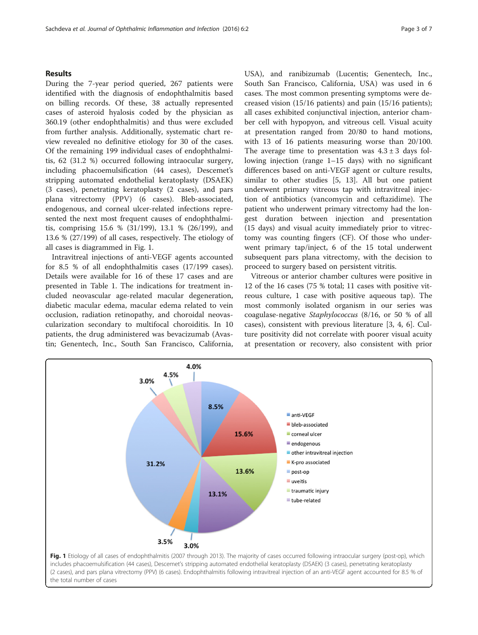## Results

During the 7-year period queried, 267 patients were identified with the diagnosis of endophthalmitis based on billing records. Of these, 38 actually represented cases of asteroid hyalosis coded by the physician as 360.19 (other endophthalmitis) and thus were excluded from further analysis. Additionally, systematic chart review revealed no definitive etiology for 30 of the cases. Of the remaining 199 individual cases of endophthalmitis, 62 (31.2 %) occurred following intraocular surgery, including phacoemulsification (44 cases), Descemet's stripping automated endothelial keratoplasty (DSAEK) (3 cases), penetrating keratoplasty (2 cases), and pars plana vitrectomy (PPV) (6 cases). Bleb-associated, endogenous, and corneal ulcer-related infections represented the next most frequent causes of endophthalmitis, comprising 15.6 % (31/199), 13.1 % (26/199), and 13.6 % (27/199) of all cases, respectively. The etiology of all cases is diagrammed in Fig. 1.

Intravitreal injections of anti-VEGF agents accounted for 8.5 % of all endophthalmitis cases (17/199 cases). Details were available for 16 of these 17 cases and are presented in Table [1.](#page-3-0) The indications for treatment included neovascular age-related macular degeneration, diabetic macular edema, macular edema related to vein occlusion, radiation retinopathy, and choroidal neovascularization secondary to multifocal choroiditis. In 10 patients, the drug administered was bevacizumab (Avastin; Genentech, Inc., South San Francisco, California, USA), and ranibizumab (Lucentis; Genentech, Inc., South San Francisco, California, USA) was used in 6 cases. The most common presenting symptoms were decreased vision (15/16 patients) and pain (15/16 patients); all cases exhibited conjunctival injection, anterior chamber cell with hypopyon, and vitreous cell. Visual acuity at presentation ranged from 20/80 to hand motions, with 13 of 16 patients measuring worse than 20/100. The average time to presentation was  $4.3 \pm 3$  days following injection (range 1–15 days) with no significant differences based on anti-VEGF agent or culture results, similar to other studies [[5,](#page-5-0) [13\]](#page-6-0). All but one patient underwent primary vitreous tap with intravitreal injection of antibiotics (vancomycin and ceftazidime). The patient who underwent primary vitrectomy had the longest duration between injection and presentation (15 days) and visual acuity immediately prior to vitrectomy was counting fingers (CF). Of those who underwent primary tap/inject, 6 of the 15 total underwent subsequent pars plana vitrectomy, with the decision to proceed to surgery based on persistent vitritis.

Vitreous or anterior chamber cultures were positive in 12 of the 16 cases (75 % total; 11 cases with positive vitreous culture, 1 case with positive aqueous tap). The most commonly isolated organism in our series was coagulase-negative Staphylococcus (8/16, or 50 % of all cases), consistent with previous literature [\[3](#page-5-0), [4](#page-5-0), [6](#page-5-0)]. Culture positivity did not correlate with poorer visual acuity at presentation or recovery, also consistent with prior

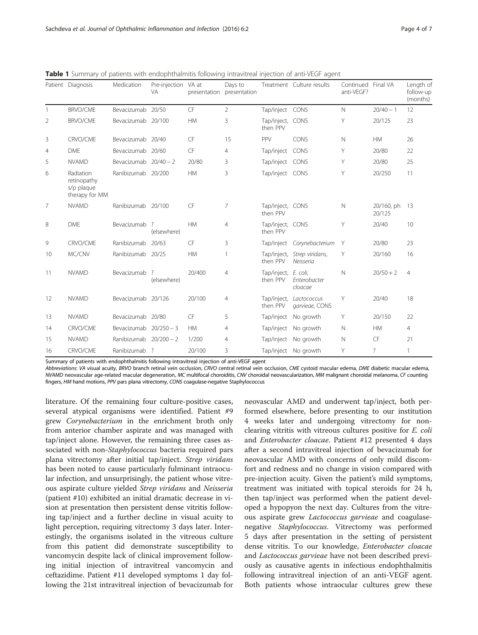|                | Patient Diagnosis                                        | Medication              | Pre-injection VA at<br><b>VA</b> | presentation | Days to<br>presentation |                              | Treatment Culture results                | Continued Final VA<br>anti-VEGF? |                      | Length of<br>follow-up<br>(months) |
|----------------|----------------------------------------------------------|-------------------------|----------------------------------|--------------|-------------------------|------------------------------|------------------------------------------|----------------------------------|----------------------|------------------------------------|
| $\overline{1}$ | <b>BRVO/CME</b>                                          | Bevacizumab 20/50       |                                  | CF           | $\overline{2}$          | Tap/inject CONS              |                                          | $\mathbb N$                      | $20/40 - 1$          | 12                                 |
| 2              | <b>BRVO/CME</b>                                          | Bevacizumab 20/100      |                                  | <b>HM</b>    | 3                       | Tap/inject, CONS<br>then PPV |                                          | Y                                | 20/125               | 23                                 |
| 3              | CRVO/CME                                                 | Bevacizumab 20/40       |                                  | CF           | 15                      | PPV                          | CONS                                     | N                                | <b>HM</b>            | 26                                 |
| $\overline{4}$ | <b>DME</b>                                               | Bevacizumab 20/60       |                                  | CF           | $\overline{4}$          | Tap/inject                   | CONS                                     | Y                                | 20/80                | 22                                 |
| 5              | <b>NVAMD</b>                                             | Bevacizumab $20/40 - 2$ |                                  | 20/80        | 3                       | Tap/inject CONS              |                                          | Y                                | 20/80                | 25                                 |
| 6              | Radiation<br>retinopathy<br>s/p plaque<br>therapy for MM | Ranibizumab 20/200      |                                  | <b>HM</b>    | 3                       | Tap/inject CONS              |                                          | Y                                | 20/250               | 11                                 |
| 7              | <b>NVAMD</b>                                             | Ranibizumab 20/100      |                                  | CF           | 7                       | Tap/inject, CONS<br>then PPV |                                          | $\mathbb N$                      | 20/160, ph<br>20/125 | 13                                 |
| 8              | <b>DME</b>                                               | Bevacizumab             | -?<br>(elsewhere)                | <b>HM</b>    | $\overline{4}$          | Tap/inject, CONS<br>then PPV |                                          | Y                                | 20/40                | 10                                 |
| 9              | CRVO/CME                                                 | Ranibizumab             | 20/63                            | CF           | 3                       |                              | Tap/inject Corynebacterium               | Y                                | 20/80                | 23                                 |
| 10             | MC/CNV                                                   | Ranibizumab 20/25       |                                  | <b>HM</b>    | 1                       | then PPV                     | Tap/inject, Strep viridans,<br>Neisseria | Y                                | 20/160               | 16                                 |
| 11             | <b>NVAMD</b>                                             | Bevacizumab             | ?<br>(elsewhere)                 | 20/400       | 4                       | Tap/inject,<br>then PPV      | E. coli,<br>Enterobacter<br>cloacae      | $\mathbb N$                      | $20/50 + 2$          | $\overline{4}$                     |
| 12             | <b>NVAMD</b>                                             | Bevacizumab 20/126      |                                  | 20/100       | $\overline{4}$          | Tap/inject,<br>then PPV      | Lactococcus<br>garvieae, CONS            | Y                                | 20/40                | 18                                 |
| 13             | <b>NVAMD</b>                                             | Bevacizumab 20/80       |                                  | CF           | 5                       |                              | Tap/inject No growth                     | Y                                | 20/150               | 22                                 |
| 14             | CRVO/CME                                                 | Bevacizumab 20/250 - 3  |                                  | <b>HM</b>    | 4                       |                              | Tap/inject No growth                     | N                                | <b>HM</b>            | $\overline{4}$                     |
| 15             | <b>NVAMD</b>                                             | Ranibizumab 20/200 - 2  |                                  | 1/200        | 4                       |                              | Tap/inject No growth                     | $\mathbb N$                      | CF                   | 21                                 |
| 16             | CRVO/CME                                                 | Ranibizumab ?           |                                  | 20/100       | 3                       |                              | Tap/inject No growth                     | Y                                | $\overline{\cdot}$   | $\mathbf{1}$                       |

<span id="page-3-0"></span>Table 1 Summary of patients with endophthalmitis following intravitreal injection of anti-VEGF agent

Summary of patients with endophthalmitis following intravitreal injection of anti-VEGF agent

Abbreviations: VA visual acuity, BRVO branch retinal vein occlusion, CRVO central retinal vein occlusion, CME cystoid macular edema, DME diabetic macular edema, NVAMD neovascular age-related macular degeneration, MC multifocal choroiditis, CNV choroidal neovascularization, MM malignant choroidal melanoma, CF counting fingers, HM hand motions, PPV pars plana vitrectomy, CONS coagulase-negative Staphylococcus

literature. Of the remaining four culture-positive cases, several atypical organisms were identified. Patient #9 grew Corynebacterium in the enrichment broth only from anterior chamber aspirate and was managed with tap/inject alone. However, the remaining three cases associated with non-Staphylococcus bacteria required pars plana vitrectomy after initial tap/inject. Strep viridans has been noted to cause particularly fulminant intraocular infection, and unsurprisingly, the patient whose vitreous aspirate culture yielded Strep viridans and Neisseria (patient #10) exhibited an initial dramatic decrease in vision at presentation then persistent dense vitritis following tap/inject and a further decline in visual acuity to light perception, requiring vitrectomy 3 days later. Interestingly, the organisms isolated in the vitreous culture from this patient did demonstrate susceptibility to vancomycin despite lack of clinical improvement following initial injection of intravitreal vancomycin and ceftazidime. Patient #11 developed symptoms 1 day following the 21st intravitreal injection of bevacizumab for

neovascular AMD and underwent tap/inject, both performed elsewhere, before presenting to our institution 4 weeks later and undergoing vitrectomy for nonclearing vitritis with vitreous cultures positive for E. coli and Enterobacter cloacae. Patient #12 presented 4 days after a second intravitreal injection of bevacizumab for neovascular AMD with concerns of only mild discomfort and redness and no change in vision compared with pre-injection acuity. Given the patient's mild symptoms, treatment was initiated with topical steroids for 24 h, then tap/inject was performed when the patient developed a hypopyon the next day. Cultures from the vitreous aspirate grew Lactococcus garvieae and coagulasenegative *Staphylococcus*. Vitrectomy was performed 5 days after presentation in the setting of persistent dense vitritis. To our knowledge, Enterobacter cloacae and Lactococcus garvieae have not been described previously as causative agents in infectious endophthalmitis following intravitreal injection of an anti-VEGF agent. Both patients whose intraocular cultures grew these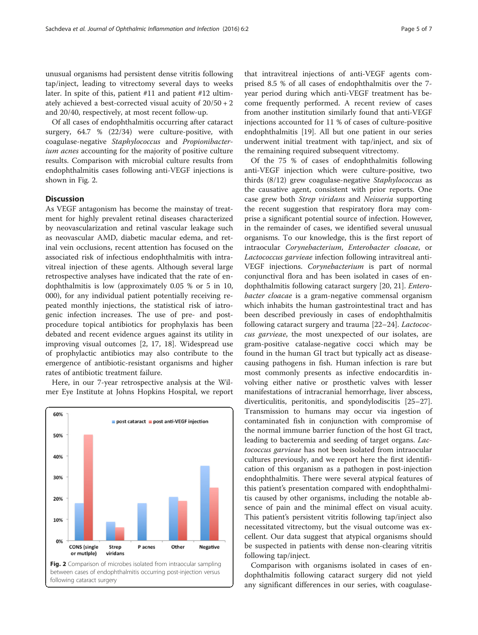unusual organisms had persistent dense vitritis following tap/inject, leading to vitrectomy several days to weeks later. In spite of this, patient #11 and patient #12 ultimately achieved a best-corrected visual acuity of 20/50 + 2 and 20/40, respectively, at most recent follow-up.

Of all cases of endophthalmitis occurring after cataract surgery, 64.7 % (22/34) were culture-positive, with coagulase-negative Staphylococcus and Propionibacterium acnes accounting for the majority of positive culture results. Comparison with microbial culture results from endophthalmitis cases following anti-VEGF injections is shown in Fig. 2.

## **Discussion**

As VEGF antagonism has become the mainstay of treatment for highly prevalent retinal diseases characterized by neovascularization and retinal vascular leakage such as neovascular AMD, diabetic macular edema, and retinal vein occlusions, recent attention has focused on the associated risk of infectious endophthalmitis with intravitreal injection of these agents. Although several large retrospective analyses have indicated that the rate of endophthalmitis is low (approximately 0.05 % or 5 in 10, 000), for any individual patient potentially receiving repeated monthly injections, the statistical risk of iatrogenic infection increases. The use of pre- and postprocedure topical antibiotics for prophylaxis has been debated and recent evidence argues against its utility in improving visual outcomes [\[2](#page-5-0), [17](#page-6-0), [18](#page-6-0)]. Widespread use of prophylactic antibiotics may also contribute to the emergence of antibiotic-resistant organisms and higher rates of antibiotic treatment failure.

Here, in our 7-year retrospective analysis at the Wilmer Eye Institute at Johns Hopkins Hospital, we report



that intravitreal injections of anti-VEGF agents comprised 8.5 % of all cases of endophthalmitis over the 7 year period during which anti-VEGF treatment has become frequently performed. A recent review of cases from another institution similarly found that anti-VEGF injections accounted for 11 % of cases of culture-positive endophthalmitis [[19\]](#page-6-0). All but one patient in our series underwent initial treatment with tap/inject, and six of the remaining required subsequent vitrectomy.

Of the 75 % of cases of endophthalmitis following anti-VEGF injection which were culture-positive, two thirds (8/12) grew coagulase-negative Staphylococcus as the causative agent, consistent with prior reports. One case grew both Strep viridans and Neisseria supporting the recent suggestion that respiratory flora may comprise a significant potential source of infection. However, in the remainder of cases, we identified several unusual organisms. To our knowledge, this is the first report of intraocular Corynebacterium, Enterobacter cloacae, or Lactococcus garvieae infection following intravitreal anti-VEGF injections. Corynebacterium is part of normal conjunctival flora and has been isolated in cases of endophthalmitis following cataract surgery [[20, 21\]](#page-6-0). Enterobacter cloacae is a gram-negative commensal organism which inhabits the human gastrointestinal tract and has been described previously in cases of endophthalmitis following cataract surgery and trauma [[22](#page-6-0)–[24](#page-6-0)]. Lactococcus garvieae, the most unexpected of our isolates, are gram-positive catalase-negative cocci which may be found in the human GI tract but typically act as diseasecausing pathogens in fish. Human infection is rare but most commonly presents as infective endocarditis involving either native or prosthetic valves with lesser manifestations of intracranial hemorrhage, liver abscess, diverticulitis, peritonitis, and spondylodiscitis [[25](#page-6-0)–[27](#page-6-0)]. Transmission to humans may occur via ingestion of contaminated fish in conjunction with compromise of the normal immune barrier function of the host GI tract, leading to bacteremia and seeding of target organs. Lactococcus garvieae has not been isolated from intraocular cultures previously, and we report here the first identification of this organism as a pathogen in post-injection endophthalmitis. There were several atypical features of this patient's presentation compared with endophthalmitis caused by other organisms, including the notable absence of pain and the minimal effect on visual acuity. This patient's persistent vitritis following tap/inject also necessitated vitrectomy, but the visual outcome was excellent. Our data suggest that atypical organisms should be suspected in patients with dense non-clearing vitritis following tap/inject.

Comparison with organisms isolated in cases of endophthalmitis following cataract surgery did not yield any significant differences in our series, with coagulase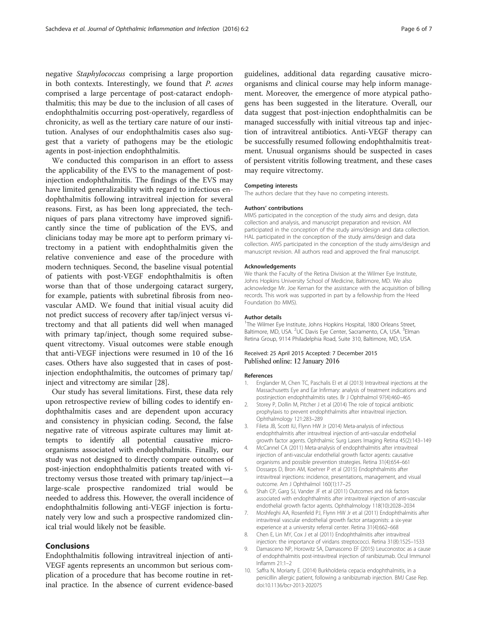<span id="page-5-0"></span>negative Staphylococcus comprising a large proportion in both contexts. Interestingly, we found that P. acnes comprised a large percentage of post-cataract endophthalmitis; this may be due to the inclusion of all cases of endophthalmitis occurring post-operatively, regardless of chronicity, as well as the tertiary care nature of our institution. Analyses of our endophthalmitis cases also suggest that a variety of pathogens may be the etiologic agents in post-injection endophthalmitis.

We conducted this comparison in an effort to assess the applicability of the EVS to the management of postinjection endophthalmitis. The findings of the EVS may have limited generalizability with regard to infectious endophthalmitis following intravitreal injection for several reasons. First, as has been long appreciated, the techniques of pars plana vitrectomy have improved significantly since the time of publication of the EVS, and clinicians today may be more apt to perform primary vitrectomy in a patient with endophthalmitis given the relative convenience and ease of the procedure with modern techniques. Second, the baseline visual potential of patients with post-VEGF endophthalmitis is often worse than that of those undergoing cataract surgery, for example, patients with subretinal fibrosis from neovascular AMD. We found that initial visual acuity did not predict success of recovery after tap/inject versus vitrectomy and that all patients did well when managed with primary tap/inject, though some required subsequent vitrectomy. Visual outcomes were stable enough that anti-VEGF injections were resumed in 10 of the 16 cases. Others have also suggested that in cases of postinjection endophthalmitis, the outcomes of primary tap/ inject and vitrectomy are similar [[28\]](#page-6-0).

Our study has several limitations. First, these data rely upon retrospective review of billing codes to identify endophthalmitis cases and are dependent upon accuracy and consistency in physician coding. Second, the false negative rate of vitreous aspirate cultures may limit attempts to identify all potential causative microorganisms associated with endophthalmitis. Finally, our study was not designed to directly compare outcomes of post-injection endophthalmitis patients treated with vitrectomy versus those treated with primary tap/inject—a large-scale prospective randomized trial would be needed to address this. However, the overall incidence of endophthalmitis following anti-VEGF injection is fortunately very low and such a prospective randomized clinical trial would likely not be feasible.

## Conclusions

Endophthalmitis following intravitreal injection of anti-VEGF agents represents an uncommon but serious complication of a procedure that has become routine in retinal practice. In the absence of current evidence-based guidelines, additional data regarding causative microorganisms and clinical course may help inform management. Moreover, the emergence of more atypical pathogens has been suggested in the literature. Overall, our data suggest that post-injection endophthalmitis can be managed successfully with initial vitreous tap and injection of intravitreal antibiotics. Anti-VEGF therapy can be successfully resumed following endophthalmitis treatment. Unusual organisms should be suspected in cases of persistent vitritis following treatment, and these cases may require vitrectomy.

#### Competing interests

The authors declare that they have no competing interests.

#### Authors' contributions

MMS participated in the conception of the study aims and design, data collection and analysis, and manuscript preparation and revision. AM participated in the conception of the study aims/design and data collection. HAL participated in the conception of the study aims/design and data collection. AWS participated in the conception of the study aims/design and manuscript revision. All authors read and approved the final manuscript.

#### Acknowledgements

We thank the Faculty of the Retina Division at the Wilmer Eye Institute, Johns Hopkins University School of Medicine, Baltimore, MD. We also acknowledge Mr. Joe Kernan for the assistance with the acquisition of billing records. This work was supported in part by a fellowship from the Heed Foundation (to MMS).

#### Author details

<sup>1</sup>The Wilmer Eye Institute, Johns Hopkins Hospital, 1800 Orleans Street Baltimore, MD, USA. <sup>2</sup>UC Davis Eye Center, Sacramento, CA, USA. <sup>3</sup>Elman Retina Group, 9114 Philadelphia Road, Suite 310, Baltimore, MD, USA.

### Received: 25 April 2015 Accepted: 7 December 2015 Published online: 12 January 2016

#### References

- 1. Englander M, Chen TC, Paschalis EI et al (2013) Intravitreal injections at the Massachusetts Eye and Ear Infirmary: analysis of treatment indications and postinjection endophthalmitis rates. Br J Ophthalmol 97(4):460–465
- 2. Storey P, Dollin M, Pitcher J et al (2014) The role of topical antibiotic prophylaxis to prevent endophthalmitis after intravitreal injection. Ophthalmology 121:283–289
- 3. Fileta JB, Scott IU, Flynn HW Jr (2014) Meta-analysis of infectious endophthalmitis after intravitreal injection of anti-vascular endothelial growth factor agents. Ophthalmic Surg Lasers Imaging Retina 45(2):143–149
- 4. McCannel CA (2011) Meta-analysis of endophthalmitis after intravitreal injection of anti-vascular endothelial growth factor agents: causative organisms and possible prevention strategies. Retina 31(4):654–661
- Dossarps D, Bron AM, Koehrer P et al (2015) Endophthalmitis after intravitreal injections: incidence, presentations, management, and visual outcome. Am J Ophthalmol 160(1):17–25
- 6. Shah CP, Garg SJ, Vander JF et al (2011) Outcomes and risk factors associated with endophthalmitis after intravitreal injection of anti-vascular endothelial growth factor agents. Ophthalmology 118(10):2028–2034
- 7. Moshfeghi AA, Rosenfeld PJ, Flynn HW Jr et al (2011) Endophthalmitis after intravitreal vascular endothelial growth factor antagonists: a six-year experience at a university referral center. Retina 31(4):662–668
- 8. Chen E, Lin MY, Cox J et al (2011) Endophthalmitis after intravitreal injection: the importance of viridans streptococci. Retina 31(8):1525–1533
- 9. Damasceno NP, Horowitz SA, Damasceno EF (2015) Leuconostoc as a cause of endophthalmitis post-intravitreal injection of ranibizumab. Ocul Immunol Inflamm 21:1–2
- 10. Saffra N, Moriarty E. (2014) Burkholderia cepacia endophthalmitis, in a penicillin allergic patient, following a ranibizumab injection. BMJ Case Rep. doi[:10.1136/bcr-2013-202075](http://dx.doi.org/10.1136/bcr-2013-202075)